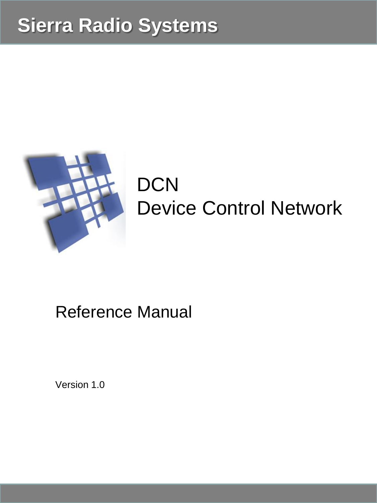## **Sierra Radio Systems**



# **DCN** Device Control Network

## Reference Manual

Version 1.0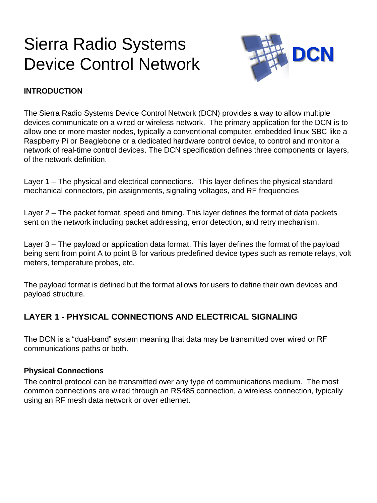## Sierra Radio Systems Device Control Network



#### **INTRODUCTION**

The Sierra Radio Systems Device Control Network (DCN) provides a way to allow multiple devices communicate on a wired or wireless network. The primary application for the DCN is to allow one or more master nodes, typically a conventional computer, embedded linux SBC like a Raspberry Pi or Beaglebone or a dedicated hardware control device, to control and monitor a network of real-time control devices. The DCN specification defines three components or layers, of the network definition.

Layer 1 – The physical and electrical connections. This layer defines the physical standard mechanical connectors, pin assignments, signaling voltages, and RF frequencies

Layer 2 – The packet format, speed and timing. This layer defines the format of data packets sent on the network including packet addressing, error detection, and retry mechanism.

Layer 3 – The payload or application data format. This layer defines the format of the payload being sent from point A to point B for various predefined device types such as remote relays, volt meters, temperature probes, etc.

The payload format is defined but the format allows for users to define their own devices and payload structure.

#### **LAYER 1 - PHYSICAL CONNECTIONS AND ELECTRICAL SIGNALING**

The DCN is a "dual-band" system meaning that data may be transmitted over wired or RF communications paths or both.

#### **Physical Connections**

The control protocol can be transmitted over any type of communications medium. The most common connections are wired through an RS485 connection, a wireless connection, typically using an RF mesh data network or over ethernet.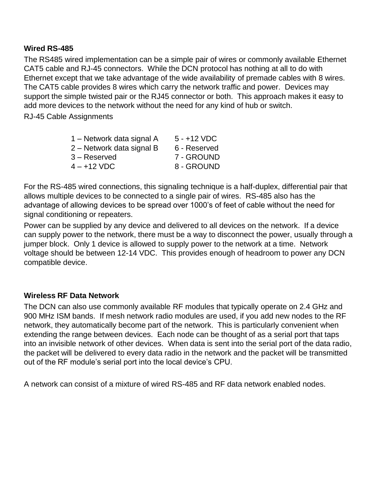#### **Wired RS-485**

The RS485 wired implementation can be a simple pair of wires or commonly available Ethernet CAT5 cable and RJ-45 connectors. While the DCN protocol has nothing at all to do with Ethernet except that we take advantage of the wide availability of premade cables with 8 wires. The CAT5 cable provides 8 wires which carry the network traffic and power. Devices may support the simple twisted pair or the RJ45 connector or both. This approach makes it easy to add more devices to the network without the need for any kind of hub or switch.

RJ-45 Cable Assignments

| 1 – Network data signal A | $5 - +12$ VDC |
|---------------------------|---------------|
| 2 – Network data signal B | 6 - Reserved  |
| 3 – Reserved              | 7 - GROUND    |
| 4 – +12 VDC               | 8 - GROUND    |
|                           |               |

For the RS-485 wired connections, this signaling technique is a half-duplex, differential pair that allows multiple devices to be connected to a single pair of wires. RS-485 also has the advantage of allowing devices to be spread over 1000's of feet of cable without the need for signal conditioning or repeaters.

Power can be supplied by any device and delivered to all devices on the network. If a device can supply power to the network, there must be a way to disconnect the power, usually through a jumper block. Only 1 device is allowed to supply power to the network at a time. Network voltage should be between 12-14 VDC. This provides enough of headroom to power any DCN compatible device.

#### **Wireless RF Data Network**

The DCN can also use commonly available RF modules that typically operate on 2.4 GHz and 900 MHz ISM bands. If mesh network radio modules are used, if you add new nodes to the RF network, they automatically become part of the network. This is particularly convenient when extending the range between devices. Each node can be thought of as a serial port that taps into an invisible network of other devices. When data is sent into the serial port of the data radio, the packet will be delivered to every data radio in the network and the packet will be transmitted out of the RF module's serial port into the local device's CPU.

A network can consist of a mixture of wired RS-485 and RF data network enabled nodes.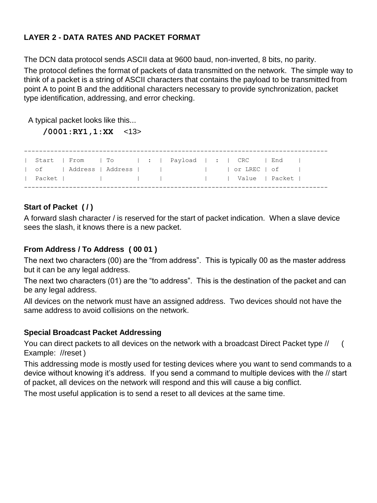#### **LAYER 2 - DATA RATES AND PACKET FORMAT**

The DCN data protocol sends ASCII data at 9600 baud, non-inverted, 8 bits, no parity.

The protocol defines the format of packets of data transmitted on the network. The simple way to think of a packet is a string of ASCII characters that contains the payload to be transmitted from point A to point B and the additional characters necessary to provide synchronization, packet type identification, addressing, and error checking.

A typical packet looks like this...

**/0001:RY1,1:XX** <13>

--------------------------------------------------------------------------------- | Start | From | To | : | Payload | : | CRC | End | | of | Address | Address | | | | | | | or LREC | of | Packet | | | | | | Value | Packet | ---------------------------------------------------------------------------------

#### **Start of Packet ( / )**

A forward slash character / is reserved for the start of packet indication. When a slave device sees the slash, it knows there is a new packet.

#### **From Address / To Address ( 00 01 )**

The next two characters (00) are the "from address". This is typically 00 as the master address but it can be any legal address.

The next two characters (01) are the "to address". This is the destination of the packet and can be any legal address.

All devices on the network must have an assigned address. Two devices should not have the same address to avoid collisions on the network.

#### **Special Broadcast Packet Addressing**

You can direct packets to all devices on the network with a broadcast Direct Packet type // ( Example: //reset )

This addressing mode is mostly used for testing devices where you want to send commands to a device without knowing it's address. If you send a command to multiple devices with the // start of packet, all devices on the network will respond and this will cause a big conflict.

The most useful application is to send a reset to all devices at the same time.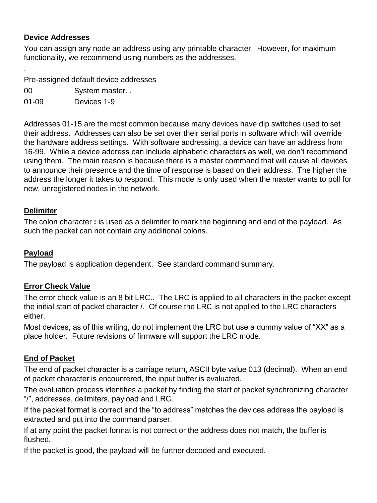#### **Device Addresses**

.

You can assign any node an address using any printable character. However, for maximum functionality, we recommend using numbers as the addresses.

Pre-assigned default device addresses

00 System master. .

01-09 Devices 1-9

Addresses 01-15 are the most common because many devices have dip switches used to set their address. Addresses can also be set over their serial ports in software which will override the hardware address settings. With software addressing, a device can have an address from 16-99. While a device address can include alphabetic characters as well, we don't recommend using them. The main reason is because there is a master command that will cause all devices to announce their presence and the time of response is based on their address. The higher the address the longer it takes to respond. This mode is only used when the master wants to poll for new, unregistered nodes in the network.

#### **Delimiter**

The colon character **:** is used as a delimiter to mark the beginning and end of the payload. As such the packet can not contain any additional colons.

#### **Payload**

The payload is application dependent. See standard command summary.

#### **Error Check Value**

The error check value is an 8 bit LRC.. The LRC is applied to all characters in the packet except the initial start of packet character /. Of course the LRC is not applied to the LRC characters either.

Most devices, as of this writing, do not implement the LRC but use a dummy value of "XX" as a place holder. Future revisions of firmware will support the LRC mode.

#### **End of Packet**

The end of packet character is a carriage return, ASCII byte value 013 (decimal). When an end of packet character is encountered, the input buffer is evaluated.

The evaluation process identifies a packet by finding the start of packet synchronizing character "/", addresses, delimiters, payload and LRC.

If the packet format is correct and the "to address" matches the devices address the payload is extracted and put into the command parser.

If at any point the packet format is not correct or the address does not match, the buffer is flushed.

If the packet is good, the payload will be further decoded and executed.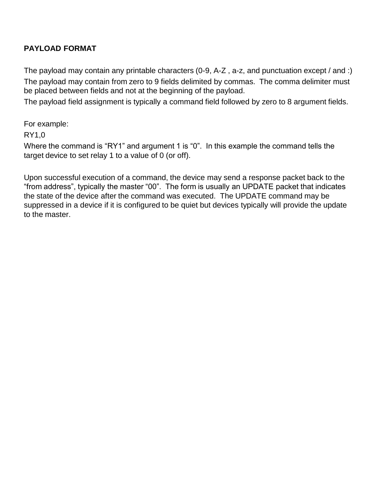#### **PAYLOAD FORMAT**

The payload may contain any printable characters (0-9, A-Z , a-z, and punctuation except / and :) The payload may contain from zero to 9 fields delimited by commas. The comma delimiter must be placed between fields and not at the beginning of the payload.

The payload field assignment is typically a command field followed by zero to 8 argument fields.

For example:

RY1,0

Where the command is "RY1" and argument 1 is "0". In this example the command tells the target device to set relay 1 to a value of 0 (or off).

Upon successful execution of a command, the device may send a response packet back to the "from address", typically the master "00". The form is usually an UPDATE packet that indicates the state of the device after the command was executed. The UPDATE command may be suppressed in a device if it is configured to be quiet but devices typically will provide the update to the master.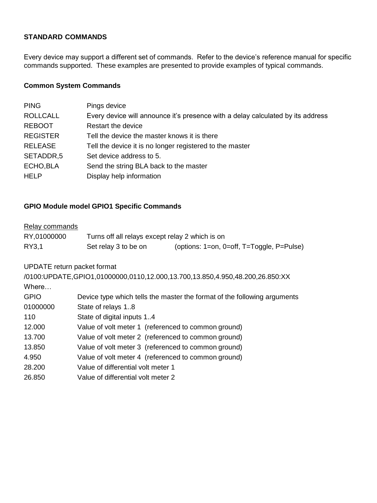#### **STANDARD COMMANDS**

Every device may support a different set of commands. Refer to the device's reference manual for specific commands supported. These examples are presented to provide examples of typical commands.

#### **Common System Commands**

| <b>PING</b>     | Pings device                                                                    |
|-----------------|---------------------------------------------------------------------------------|
| <b>ROLLCALL</b> | Every device will announce it's presence with a delay calculated by its address |
| <b>REBOOT</b>   | Restart the device                                                              |
| <b>REGISTER</b> | Tell the device the master knows it is there                                    |
| <b>RELEASE</b>  | Tell the device it is no longer registered to the master                        |
| SETADDR,5       | Set device address to 5.                                                        |
| ECHO, BLA       | Send the string BLA back to the master                                          |
| <b>HELP</b>     | Display help information                                                        |
|                 |                                                                                 |

#### **GPIO Module model GPIO1 Specific Commands**

#### Relay commands

| RY.01000000 | Turns off all relays except relay 2 which is on |                                                   |
|-------------|-------------------------------------------------|---------------------------------------------------|
| RY3,1       | Set relay 3 to be on                            | (options: 1=on, 0=off, $T = T^{q}$ ggle, P=Pulse) |

UPDATE return packet format

/0100:UPDATE,GPIO1,01000000,0110,12.000,13.700,13.850,4.950,48.200,26.850:XX Where…

| <b>GPIO</b> | Device type which tells the master the format of the following arguments |
|-------------|--------------------------------------------------------------------------|
| 01000000    | State of relays 1.8                                                      |
| 110         | State of digital inputs 14                                               |
| 12.000      | Value of volt meter 1 (referenced to common ground)                      |
| 13.700      | Value of volt meter 2 (referenced to common ground)                      |
| 13.850      | Value of volt meter 3 (referenced to common ground)                      |
| 4.950       | Value of volt meter 4 (referenced to common ground)                      |
| 28.200      | Value of differential volt meter 1                                       |
| 26.850      | Value of differential volt meter 2                                       |
|             |                                                                          |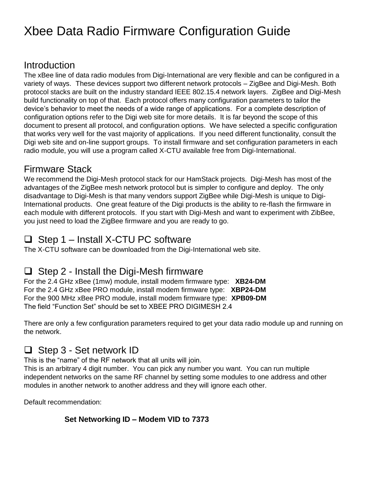### Xbee Data Radio Firmware Configuration Guide

#### Introduction

The xBee line of data radio modules from Digi-International are very flexible and can be configured in a variety of ways. These devices support two different network protocols – ZigBee and Digi-Mesh. Both protocol stacks are built on the industry standard IEEE 802.15.4 network layers. ZigBee and Digi-Mesh build functionality on top of that. Each protocol offers many configuration parameters to tailor the device's behavior to meet the needs of a wide range of applications. For a complete description of configuration options refer to the Digi web site for more details. It is far beyond the scope of this document to present all protocol, and configuration options. We have selected a specific configuration that works very well for the vast majority of applications. If you need different functionality, consult the Digi web site and on-line support groups. To install firmware and set configuration parameters in each radio module, you will use a program called X-CTU available free from Digi-International.

#### Firmware Stack

We recommend the Digi-Mesh protocol stack for our HamStack projects. Digi-Mesh has most of the advantages of the ZigBee mesh network protocol but is simpler to configure and deploy. The only disadvantage to Digi-Mesh is that many vendors support ZigBee while Digi-Mesh is unique to Digi-International products. One great feature of the Digi products is the ability to re-flash the firmware in each module with different protocols. If you start with Digi-Mesh and want to experiment with ZibBee, you just need to load the ZigBee firmware and you are ready to go.

#### ❑ Step 1 – Install X-CTU PC software

The X-CTU software can be downloaded from the Digi-International web site.

#### ❑ Step 2 - Install the Digi-Mesh firmware

For the 2.4 GHz xBee (1mw) module, install modem firmware type: **XB24-DM** For the 2.4 GHz xBee PRO module, install modem firmware type: **XBP24-DM** For the 900 MHz xBee PRO module, install modem firmware type: **XPB09-DM** The field "Function Set" should be set to XBEE PRO DIGIMESH 2.4

There are only a few configuration parameters required to get your data radio module up and running on the network.

#### ❑ Step 3 - Set network ID

This is the "name" of the RF network that all units will join.

This is an arbitrary 4 digit number. You can pick any number you want. You can run multiple independent networks on the same RF channel by setting some modules to one address and other modules in another network to another address and they will ignore each other.

Default recommendation:

#### **Set Networking ID – Modem VID to 7373**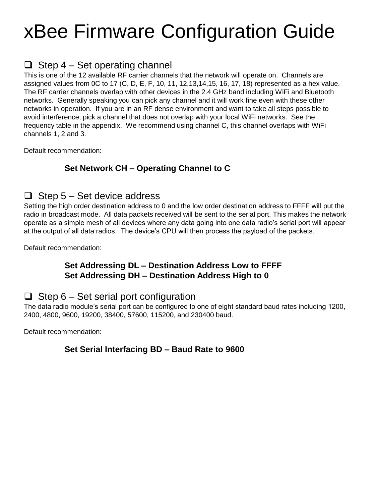# xBee Firmware Configuration Guide

#### $\Box$  Step 4 – Set operating channel

This is one of the 12 available RF carrier channels that the network will operate on. Channels are assigned values from 0C to 17 (C, D, E, F, 10, 11, 12,13,14,15, 16, 17, 18) represented as a hex value. The RF carrier channels overlap with other devices in the 2.4 GHz band including WiFi and Bluetooth networks. Generally speaking you can pick any channel and it will work fine even with these other networks in operation. If you are in an RF dense environment and want to take all steps possible to avoid interference, pick a channel that does not overlap with your local WiFi networks. See the frequency table in the appendix. We recommend using channel C, this channel overlaps with WiFi channels 1, 2 and 3.

Default recommendation:

#### **Set Network CH – Operating Channel to C**

#### $\Box$  Step 5 – Set device address

Setting the high order destination address to 0 and the low order destination address to FFFF will put the radio in broadcast mode. All data packets received will be sent to the serial port. This makes the network operate as a simple mesh of all devices where any data going into one data radio's serial port will appear at the output of all data radios. The device's CPU will then process the payload of the packets.

Default recommendation:

#### **Set Addressing DL – Destination Address Low to FFFF Set Addressing DH – Destination Address High to 0**

#### $\Box$  Step 6 – Set serial port configuration

The data radio module's serial port can be configured to one of eight standard baud rates including 1200, 2400, 4800, 9600, 19200, 38400, 57600, 115200, and 230400 baud.

Default recommendation:

**Set Serial Interfacing BD – Baud Rate to 9600**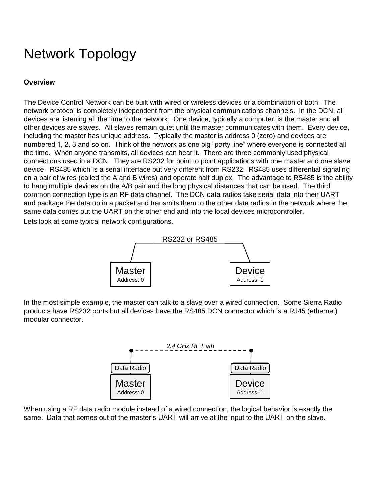## Network Topology

#### **Overview**

The Device Control Network can be built with wired or wireless devices or a combination of both. The network protocol is completely independent from the physical communications channels. In the DCN, all devices are listening all the time to the network. One device, typically a computer, is the master and all other devices are slaves. All slaves remain quiet until the master communicates with them. Every device, including the master has unique address. Typically the master is address 0 (zero) and devices are numbered 1, 2, 3 and so on. Think of the network as one big "party line" where everyone is connected all the time. When anyone transmits, all devices can hear it. There are three commonly used physical connections used in a DCN. They are RS232 for point to point applications with one master and one slave device. RS485 which is a serial interface but very different from RS232. RS485 uses differential signaling on a pair of wires (called the A and B wires) and operate half duplex. The advantage to RS485 is the ability to hang multiple devices on the A/B pair and the long physical distances that can be used. The third common connection type is an RF data channel. The DCN data radios take serial data into their UART and package the data up in a packet and transmits them to the other data radios in the network where the same data comes out the UART on the other end and into the local devices microcontroller. Lets look at some typical network configurations.



In the most simple example, the master can talk to a slave over a wired connection. Some Sierra Radio products have RS232 ports but all devices have the RS485 DCN connector which is a RJ45 (ethernet) modular connector.



When using a RF data radio module instead of a wired connection, the logical behavior is exactly the same. Data that comes out of the master's UART will arrive at the input to the UART on the slave.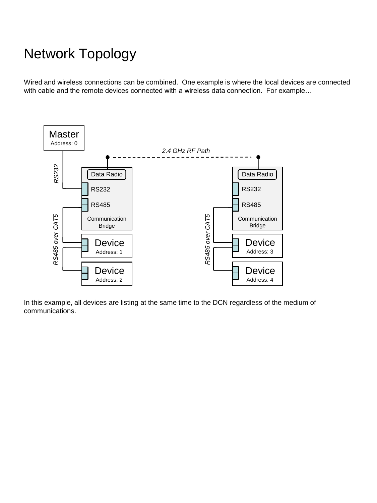## Network Topology

Wired and wireless connections can be combined. One example is where the local devices are connected with cable and the remote devices connected with a wireless data connection. For example…



In this example, all devices are listing at the same time to the DCN regardless of the medium of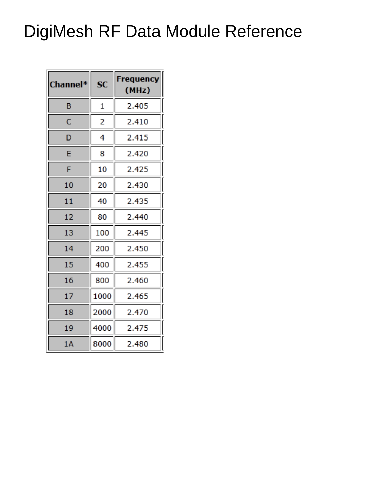## DigiMesh RF Data Module Reference

| Channel* | <b>SC</b> | Frequency<br>(MHz) |
|----------|-----------|--------------------|
| в        | 1         | 2.405              |
| c        | 2         | 2.410              |
| D        | 4         | 2.415              |
| E        | 8         | 2.420              |
| F        | 10        | 2.425              |
| 10       | 20        | 2.430              |
| 11       | 40        | 2.435              |
| 12       | 80        | 2.440              |
| 13       | 100       | 2.445              |
| 14       | 200       | 2.450              |
| 15       | 400       | 2.455              |
| 16       | 800       | 2.460              |
| 17       | 1000      | 2.465              |
| 18       | 2000      | 2.470              |
| 19       | 4000      | 2.475              |
| 1A       | 8000      | 2.480              |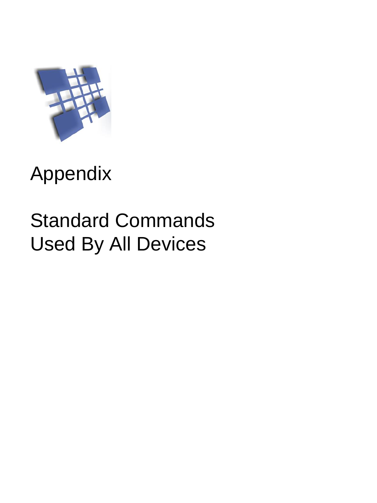

# Appendix

# Standard Commands Used By All Devices